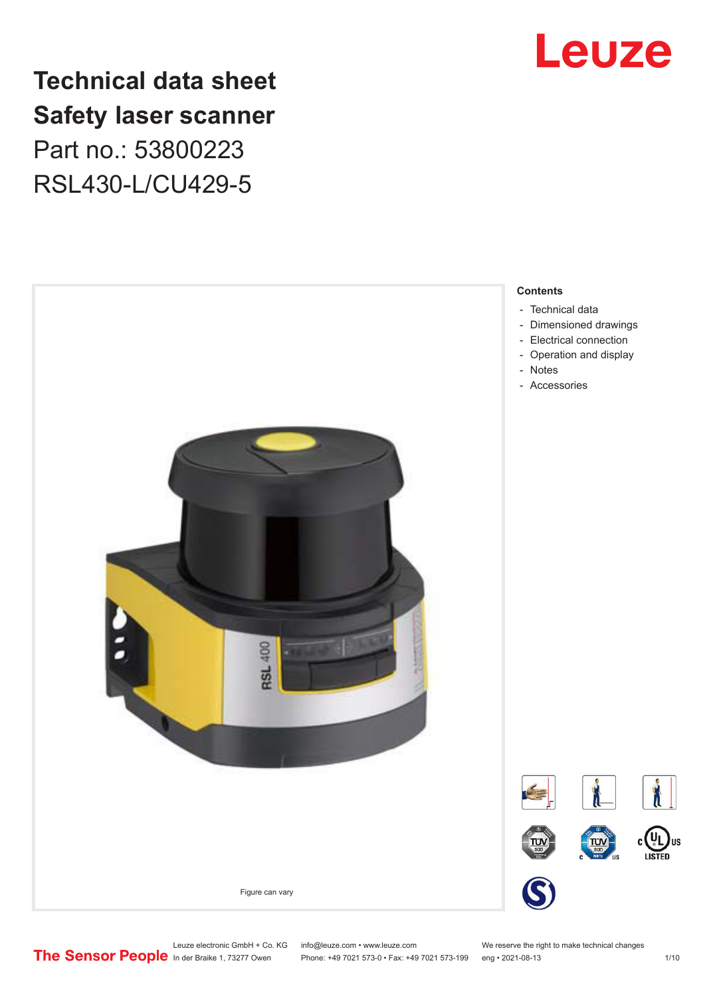

## **Technical data sheet Safety laser scanner** Part no.: 53800223 RSL430-L/CU429-5



Leuze electronic GmbH + Co. KG info@leuze.com • www.leuze.com We reserve the right to make technical changes<br>
The Sensor People in der Braike 1, 73277 Owen Phone: +49 7021 573-0 • Fax: +49 7021 573-199 eng • 2021-08-13

Phone: +49 7021 573-0 • Fax: +49 7021 573-199 eng • 2021-08-13 1/10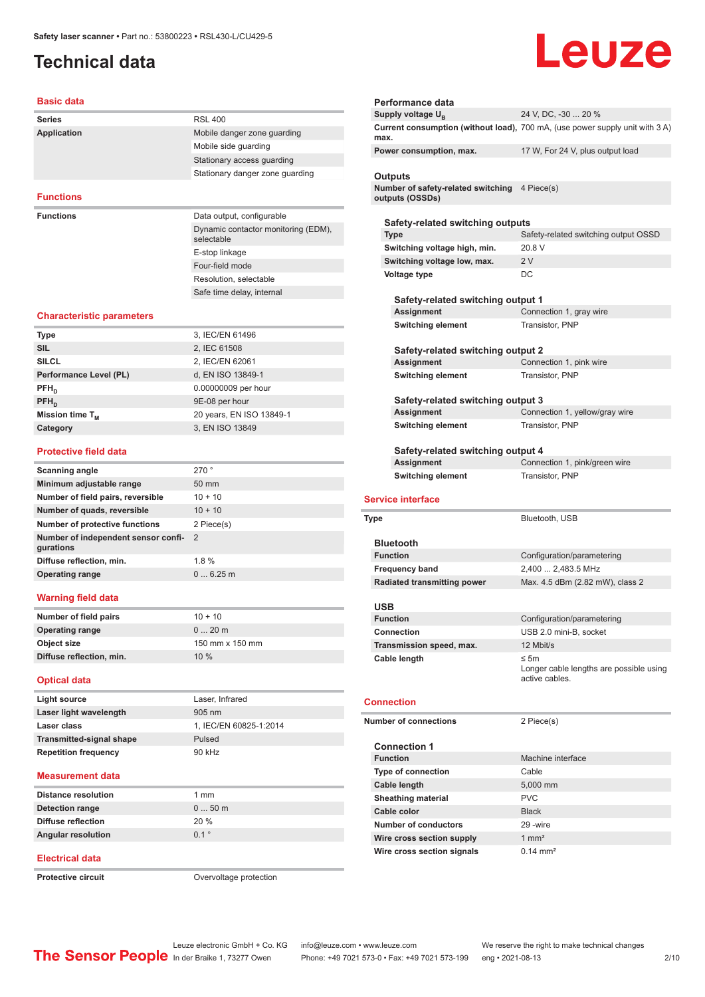## <span id="page-1-0"></span>**Technical data**

# Leuze

### **Basic data**

| <b>Series</b>      | <b>RSL 400</b>                                    |
|--------------------|---------------------------------------------------|
| <b>Application</b> | Mobile danger zone guarding                       |
|                    | Mobile side quarding                              |
|                    | Stationary access quarding                        |
|                    | Stationary danger zone guarding                   |
|                    |                                                   |
| <b>Functions</b>   |                                                   |
| <b>Functions</b>   | Data output, configurable                         |
|                    | Dynamic contactor monitoring (EDM),<br>selectable |
|                    | E-stop linkage                                    |
|                    | Four-field mode                                   |
|                    |                                                   |

Resolution, selectable Safe time delay, internal

## **Characteristic parameters**

| 3, IEC/EN 61496          |
|--------------------------|
| 2, IEC 61508             |
| 2, IEC/EN 62061          |
| d, EN ISO 13849-1        |
| 0.00000009 per hour      |
| 9E-08 per hour           |
| 20 years, EN ISO 13849-1 |
| 3, EN ISO 13849          |
|                          |

## **Protective field data**

| Scanning angle                                   | 270°            |
|--------------------------------------------------|-----------------|
| Minimum adjustable range                         | $50 \text{ mm}$ |
| Number of field pairs, reversible                | $10 + 10$       |
| Number of quads, reversible                      | $10 + 10$       |
| <b>Number of protective functions</b>            | 2 Piece(s)      |
| Number of independent sensor confi-<br>gurations | $\mathcal{P}$   |
| Diffuse reflection, min.                         | 1.8%            |
| <b>Operating range</b>                           | 06.25m          |
|                                                  |                 |

## **Warning field data**

| Number of field pairs    | $10 + 10$       |
|--------------------------|-----------------|
| <b>Operating range</b>   | $020$ m         |
| Object size              | 150 mm x 150 mm |
| Diffuse reflection, min. | 10%             |
|                          |                 |

## **Optical data**

| Light source                    | Laser, Infrared        |
|---------------------------------|------------------------|
| Laser light wavelength          | $905 \text{ nm}$       |
| Laser class                     | 1, IEC/EN 60825-1:2014 |
| <b>Transmitted-signal shape</b> | Pulsed                 |
| <b>Repetition frequency</b>     | 90 kHz                 |
|                                 |                        |

## **Measurement data**

| Detection range<br>$050$ m<br><b>Diffuse reflection</b><br>20%<br>01°<br><b>Angular resolution</b> | <b>Distance resolution</b> | $1 \text{ mm}$ |
|----------------------------------------------------------------------------------------------------|----------------------------|----------------|
|                                                                                                    |                            |                |
|                                                                                                    |                            |                |
|                                                                                                    |                            |                |

## **Electrical data**

**Protective circuit COVER 1999** Overvoltage protection

| Performance data                                                        |                                                                              |
|-------------------------------------------------------------------------|------------------------------------------------------------------------------|
| Supply voltage U <sub>B</sub>                                           | 24 V, DC, -30  20 %                                                          |
| max.                                                                    | Current consumption (without load), 700 mA, (use power supply unit with 3 A) |
| Power consumption, max.                                                 | 17 W, For 24 V, plus output load                                             |
| Outputs                                                                 |                                                                              |
| Number of safety-related switching 4 Piece(s)<br>outputs (OSSDs)        |                                                                              |
| Safety-related switching outputs                                        |                                                                              |
| Type                                                                    | Safety-related switching output OSSD                                         |
| Switching voltage high, min.                                            | 20.8 V                                                                       |
| Switching voltage low, max.<br>Voltage type                             | 2V<br>DC                                                                     |
| Safety-related switching output 1                                       |                                                                              |
| Assignment                                                              | Connection 1, gray wire                                                      |
| <b>Switching element</b>                                                | Transistor, PNP                                                              |
| Safety-related switching output 2<br>Assignment                         | Connection 1, pink wire                                                      |
| <b>Switching element</b>                                                | Transistor, PNP                                                              |
|                                                                         |                                                                              |
| Safety-related switching output 3                                       |                                                                              |
| Assignment                                                              | Connection 1, yellow/gray wire                                               |
| <b>Switching element</b>                                                | Transistor, PNP                                                              |
| Safety-related switching output 4                                       |                                                                              |
| Assignment<br><b>Switching element</b>                                  | Connection 1, pink/green wire<br>Transistor, PNP                             |
| <b>Service interface</b><br>Type                                        | Bluetooth, USB                                                               |
|                                                                         |                                                                              |
|                                                                         |                                                                              |
| <b>Bluetooth</b>                                                        |                                                                              |
| <b>Function</b>                                                         | Configuration/parametering                                                   |
| <b>Frequency band</b>                                                   | 2,400  2,483.5 MHz                                                           |
| <b>Radiated transmitting power</b>                                      | Max. 4.5 dBm (2.82 mW), class 2                                              |
| <b>USB</b><br>Function                                                  | Configuration/parametering                                                   |
| <b>Connection</b>                                                       | USB 2.0 mini-B, socket                                                       |
| Transmission speed, max.                                                | 12 Mbit/s                                                                    |
| Cable length                                                            | ≤ 5m<br>active cables.                                                       |
|                                                                         |                                                                              |
|                                                                         | 2 Piece(s)                                                                   |
| <b>Connection 1</b>                                                     |                                                                              |
| <b>Function</b>                                                         | Machine interface                                                            |
| Connection<br><b>Number of connections</b><br><b>Type of connection</b> | Cable                                                                        |
| <b>Cable length</b>                                                     | 5,000 mm                                                                     |
| <b>Sheathing material</b>                                               | <b>PVC</b>                                                                   |
| Cable color                                                             | <b>Black</b>                                                                 |
| <b>Number of conductors</b>                                             | 29 - wire                                                                    |
| Wire cross section supply                                               | Longer cable lengths are possible using<br>$1 \text{ mm}^2$                  |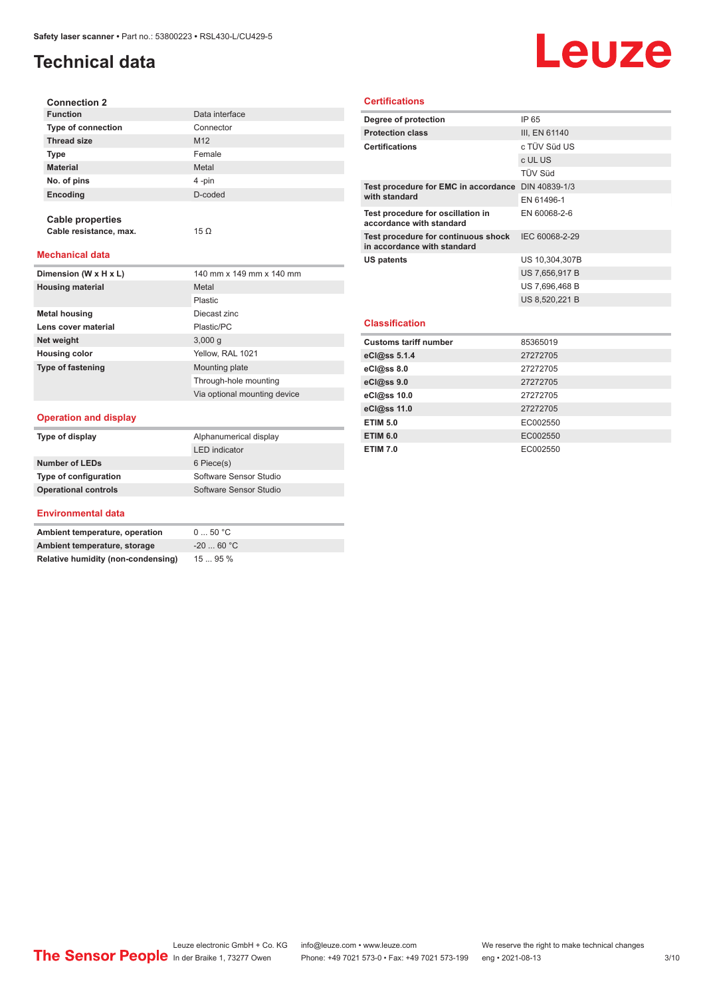## **Technical data**

# Leuze

| <b>Connection 2</b>       |                 |
|---------------------------|-----------------|
| <b>Function</b>           | Data interface  |
| <b>Type of connection</b> | Connector       |
| <b>Thread size</b>        | M <sub>12</sub> |
| <b>Type</b>               | Female          |
| <b>Material</b>           | Metal           |
| No. of pins               | 4-pin           |
| Encoding                  | D-coded         |
|                           |                 |

**Mechanical data**

**Cable properties**

**Cable resistance, max.** 15 Ω

| Dimension (W x H x L)    | 140 mm x 149 mm x 140 mm     |
|--------------------------|------------------------------|
| <b>Housing material</b>  | Metal                        |
|                          | Plastic                      |
| <b>Metal housing</b>     | Diecast zinc                 |
| Lens cover material      | Plastic/PC                   |
| Net weight               | 3,000q                       |
| <b>Housing color</b>     | Yellow, RAL 1021             |
| <b>Type of fastening</b> | Mounting plate               |
|                          | Through-hole mounting        |
|                          | Via optional mounting device |

## **Operation and display**

| Type of display             | Alphanumerical display |
|-----------------------------|------------------------|
|                             | <b>LED</b> indicator   |
| <b>Number of LEDs</b>       | 6 Piece(s)             |
| Type of configuration       | Software Sensor Studio |
| <b>Operational controls</b> | Software Sensor Studio |

## **Environmental data**

| Ambient temperature, operation     | 050 °C     |
|------------------------------------|------------|
| Ambient temperature, storage       | $-2060 °C$ |
| Relative humidity (non-condensing) | 1595%      |

## **Certifications**

| Degree of protection                                               | IP 65          |
|--------------------------------------------------------------------|----------------|
| <b>Protection class</b>                                            | III, EN 61140  |
| <b>Certifications</b>                                              | c TÜV Süd US   |
|                                                                    | c UL US        |
|                                                                    | <b>TÜV Süd</b> |
| Test procedure for EMC in accordance DIN 40839-1/3                 |                |
| with standard                                                      | EN 61496-1     |
| Test procedure for oscillation in<br>accordance with standard      | EN 60068-2-6   |
| Test procedure for continuous shock<br>in accordance with standard | IEC 60068-2-29 |
| US patents                                                         | US 10,304,307B |
|                                                                    | US 7,656,917 B |
|                                                                    | US 7,696,468 B |
|                                                                    | US 8,520,221 B |
|                                                                    |                |
| <b>Classification</b>                                              |                |
| <b>Customs tariff number</b>                                       | 85365019       |
| eCl@ss 5.1.4                                                       | 27272705       |
| eCl@ss 8.0                                                         | 27272705       |
| eCl@ss 9.0                                                         | 27272705       |
| eCl@ss 10.0                                                        | 27272705       |

**eCl@ss 11.0** 27272705 **ETIM 5.0** EC002550 **ETIM 6.0** EC002550 **ETIM 7.0** EC002550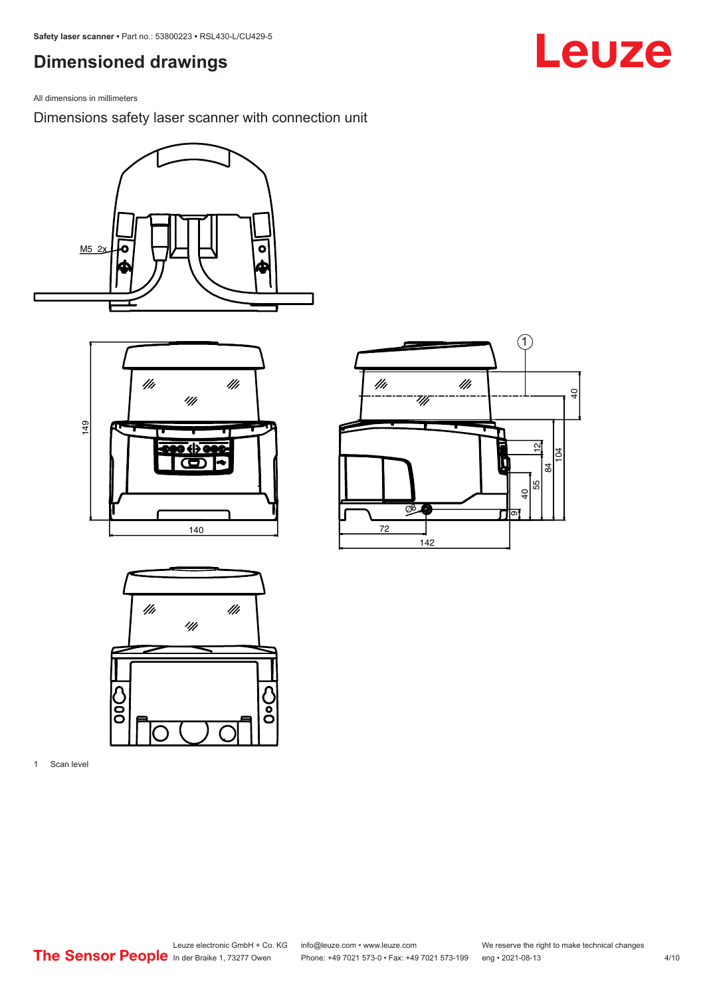## <span id="page-3-0"></span>**Dimensioned drawings**

All dimensions in millimeters

Dimensions safety laser scanner with connection unit









1 Scan level

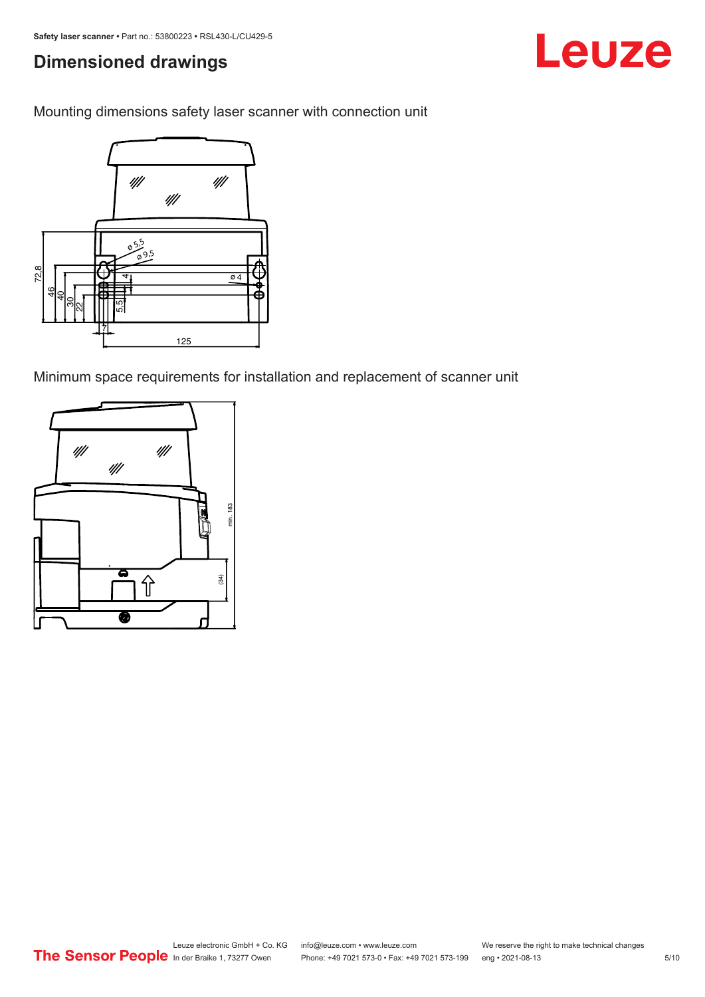## **Dimensioned drawings**

Mounting dimensions safety laser scanner with connection unit



Minimum space requirements for installation and replacement of scanner unit



Leuze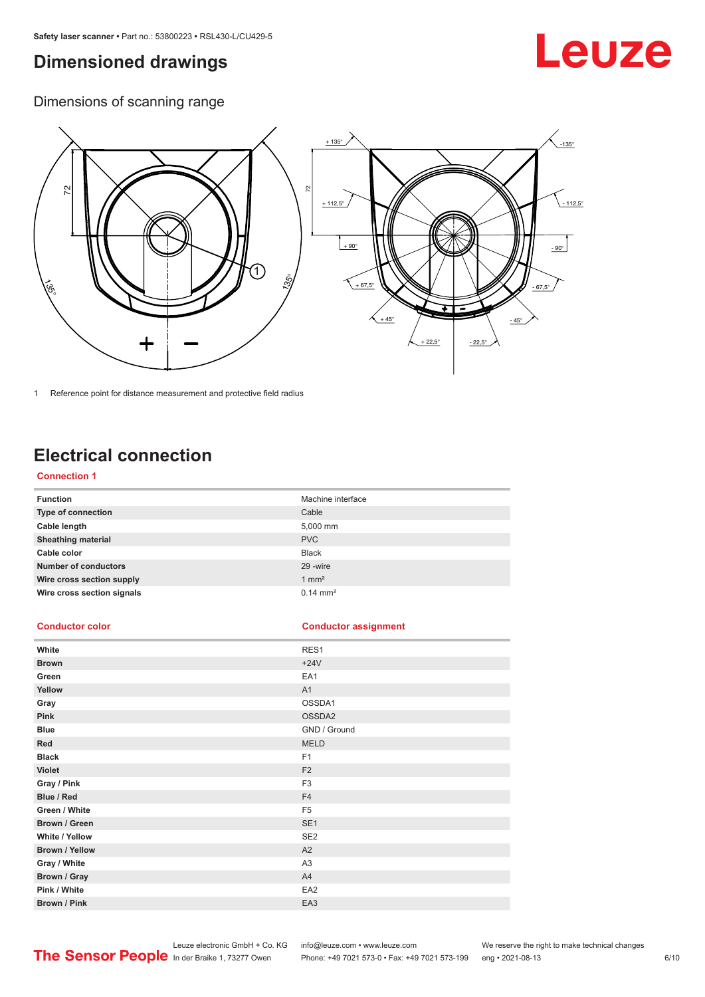## <span id="page-5-0"></span>**Dimensioned drawings**

# Leuze

Dimensions of scanning range



1 Reference point for distance measurement and protective field radius

## **Electrical connection**

## **Connection 1**

| <b>Function</b>             | Machine interface   |
|-----------------------------|---------------------|
| Type of connection          | Cable               |
| Cable length                | 5,000 mm            |
| <b>Sheathing material</b>   | <b>PVC</b>          |
| Cable color                 | <b>Black</b>        |
| <b>Number of conductors</b> | 29 - wire           |
| Wire cross section supply   | $1 \text{ mm}^2$    |
| Wire cross section signals  | $0.14 \text{ mm}^2$ |

## **Conductor color Conductor assignment**

| White                 | RES1            |
|-----------------------|-----------------|
| <b>Brown</b>          | $+24V$          |
| Green                 | EA1             |
| Yellow                | A1              |
| Gray                  | OSSDA1          |
| Pink                  | OSSDA2          |
| <b>Blue</b>           | GND / Ground    |
| Red                   | <b>MELD</b>     |
| <b>Black</b>          | F <sub>1</sub>  |
| <b>Violet</b>         | F <sub>2</sub>  |
| Gray / Pink           | F <sub>3</sub>  |
| Blue / Red            | F <sub>4</sub>  |
| Green / White         | F <sub>5</sub>  |
| Brown / Green         | SE <sub>1</sub> |
| White / Yellow        | SE <sub>2</sub> |
| <b>Brown / Yellow</b> | A2              |
| Gray / White          | A <sub>3</sub>  |
| Brown / Gray          | A4              |
| Pink / White          | EA <sub>2</sub> |
| Brown / Pink          | EA3             |

Leuze electronic GmbH + Co. KG info@leuze.com • www.leuze.com We reserve the right to make technical changes

In der Braike 1, 73277 Owen Phone: +49 7021 573-0 • Fax: +49 7021 573-199 eng • 2021-08-13 6 /10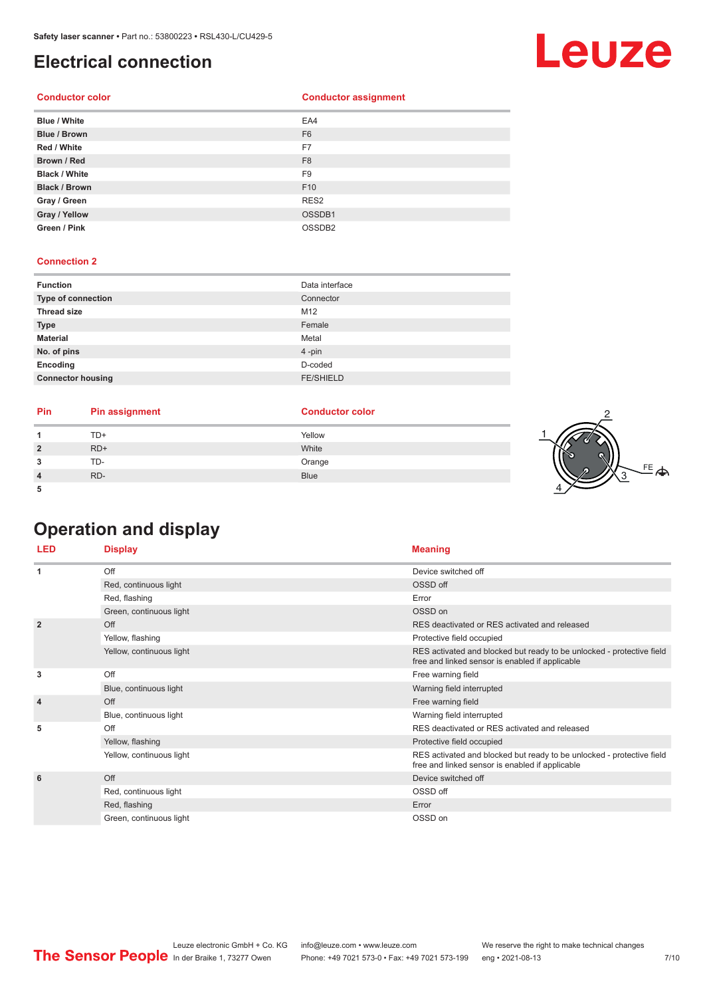## <span id="page-6-0"></span>**Electrical connection**

## **Conductor color Conductor assignment**

| <b>Blue / White</b>  | EA4                |
|----------------------|--------------------|
| <b>Blue / Brown</b>  | F <sub>6</sub>     |
| Red / White          | F7                 |
| Brown / Red          | F <sub>8</sub>     |
| <b>Black / White</b> | F <sub>9</sub>     |
| <b>Black / Brown</b> | F <sub>10</sub>    |
| Gray / Green         | RES <sub>2</sub>   |
| Gray / Yellow        | OSSDB1             |
| Green / Pink         | OSSDB <sub>2</sub> |

## **Connection 2**

| <b>Function</b>          | Data interface   |
|--------------------------|------------------|
| Type of connection       | Connector        |
| <b>Thread size</b>       | M12              |
| <b>Type</b>              | Female           |
| <b>Material</b>          | Metal            |
| No. of pins              | $4$ -pin         |
| Encoding                 | D-coded          |
| <b>Connector housing</b> | <b>FE/SHIELD</b> |

| Pin | <b>Pin assignment</b> | <b>Conductor color</b> |  |
|-----|-----------------------|------------------------|--|
|     | TD+                   | Yellow                 |  |
| ຳ   | $RD+$                 | White                  |  |
| ີ   | TD-                   | Orange                 |  |
|     | RD-                   | <b>Blue</b>            |  |
|     |                       |                        |  |

## **Operation and display**

| <b>LED</b>     | <b>Display</b>           | <b>Meaning</b>                                                                                                           |
|----------------|--------------------------|--------------------------------------------------------------------------------------------------------------------------|
| 1              | Off                      | Device switched off                                                                                                      |
|                | Red, continuous light    | OSSD off                                                                                                                 |
|                | Red, flashing            | Error                                                                                                                    |
|                | Green, continuous light  | OSSD on                                                                                                                  |
| $\overline{2}$ | Off                      | RES deactivated or RES activated and released                                                                            |
|                | Yellow, flashing         | Protective field occupied                                                                                                |
|                | Yellow, continuous light | RES activated and blocked but ready to be unlocked - protective field<br>free and linked sensor is enabled if applicable |
| 3              | Off                      | Free warning field                                                                                                       |
|                | Blue, continuous light   | Warning field interrupted                                                                                                |
| $\overline{4}$ | Off                      | Free warning field                                                                                                       |
|                | Blue, continuous light   | Warning field interrupted                                                                                                |
| 5              | Off                      | RES deactivated or RES activated and released                                                                            |
|                | Yellow, flashing         | Protective field occupied                                                                                                |
|                | Yellow, continuous light | RES activated and blocked but ready to be unlocked - protective field<br>free and linked sensor is enabled if applicable |
| 6              | Off                      | Device switched off                                                                                                      |
|                | Red, continuous light    | OSSD off                                                                                                                 |
|                | Red, flashing            | Error                                                                                                                    |
|                | Green, continuous light  | OSSD on                                                                                                                  |

# **Leuze**

FE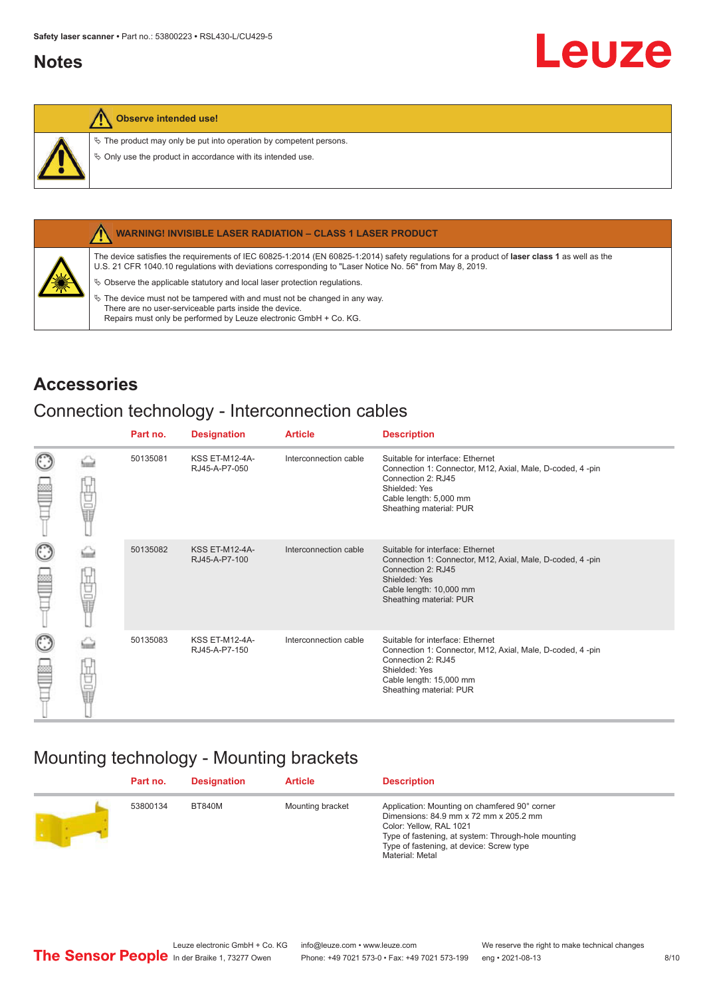## <span id="page-7-0"></span>**Notes**



## **Observe intended use!**

 $\&$  The product may only be put into operation by competent persons.

 $\%$  Only use the product in accordance with its intended use.



## **WARNING! INVISIBLE LASER RADIATION – CLASS 1 LASER PRODUCT**

The device satisfies the requirements of IEC 60825-1:2014 (EN 60825-1:2014) safety regulations for a product of **laser class 1** as well as the U.S. 21 CFR 1040.10 regulations with deviations corresponding to "Laser Notice No. 56" from May 8, 2019.

 $\&$  Observe the applicable statutory and local laser protection regulations.

 $\%$  The device must not be tampered with and must not be changed in any way. There are no user-serviceable parts inside the device. Repairs must only be performed by Leuze electronic GmbH + Co. KG.

## **Accessories**

## Connection technology - Interconnection cables

|                      |    | Part no. | <b>Designation</b>                     | <b>Article</b>        | <b>Description</b>                                                                                                                                                                         |
|----------------------|----|----------|----------------------------------------|-----------------------|--------------------------------------------------------------------------------------------------------------------------------------------------------------------------------------------|
| $_{\odot}$<br>œ      | 甘量 | 50135081 | <b>KSS ET-M12-4A-</b><br>RJ45-A-P7-050 | Interconnection cable | Suitable for interface: Ethernet<br>Connection 1: Connector, M12, Axial, Male, D-coded, 4-pin<br>Connection 2: RJ45<br>Shielded: Yes<br>Cable length: 5,000 mm<br>Sheathing material: PUR  |
| $_{\bigodot}$<br>œ   | 甘量 | 50135082 | <b>KSS ET-M12-4A-</b><br>RJ45-A-P7-100 | Interconnection cable | Suitable for interface: Ethernet<br>Connection 1: Connector, M12, Axial, Male, D-coded, 4-pin<br>Connection 2: RJ45<br>Shielded: Yes<br>Cable length: 10,000 mm<br>Sheathing material: PUR |
| $_{\mathbb{C}}$<br>œ | 甘量 | 50135083 | <b>KSS ET-M12-4A-</b><br>RJ45-A-P7-150 | Interconnection cable | Suitable for interface: Ethernet<br>Connection 1: Connector, M12, Axial, Male, D-coded, 4-pin<br>Connection 2: RJ45<br>Shielded: Yes<br>Cable length: 15,000 mm<br>Sheathing material: PUR |

## Mounting technology - Mounting brackets

| Part no. | <b>Designation</b> | <b>Article</b>   | <b>Description</b>                                                                                                                                                                                                                       |
|----------|--------------------|------------------|------------------------------------------------------------------------------------------------------------------------------------------------------------------------------------------------------------------------------------------|
| 53800134 | <b>BT840M</b>      | Mounting bracket | Application: Mounting on chamfered 90° corner<br>Dimensions: 84.9 mm x 72 mm x 205.2 mm<br>Color: Yellow, RAL 1021<br>Type of fastening, at system: Through-hole mounting<br>Type of fastening, at device: Screw type<br>Material: Metal |

Leuze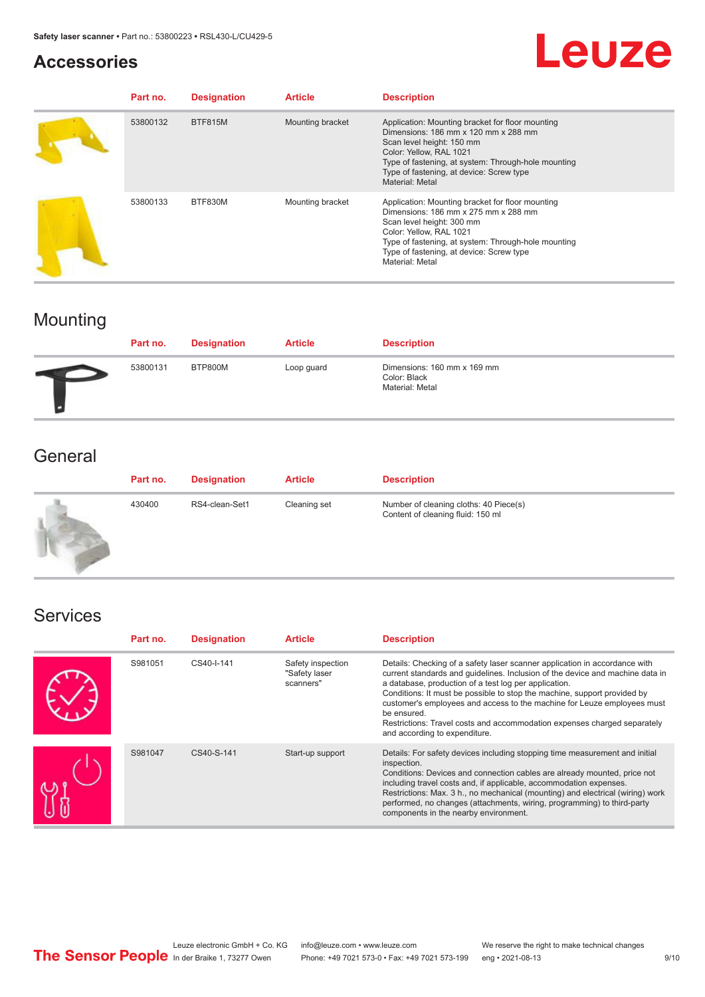## **Accessories**

# Leuze

| Part no. | <b>Designation</b> | <b>Article</b>   | <b>Description</b>                                                                                                                                                                                                                                                            |
|----------|--------------------|------------------|-------------------------------------------------------------------------------------------------------------------------------------------------------------------------------------------------------------------------------------------------------------------------------|
| 53800132 | <b>BTF815M</b>     | Mounting bracket | Application: Mounting bracket for floor mounting<br>Dimensions: 186 mm x 120 mm x 288 mm<br>Scan level height: 150 mm<br>Color: Yellow, RAL 1021<br>Type of fastening, at system: Through-hole mounting<br>Type of fastening, at device: Screw type<br>Material: Metal        |
| 53800133 | BTF830M            | Mounting bracket | Application: Mounting bracket for floor mounting<br>Dimensions: 186 mm x 275 mm x 288 mm<br>Scan level height: 300 mm<br>Color: Yellow, RAL 1021<br>Type of fastening, at system: Through-hole mounting<br>Type of fastening, at device: Screw type<br><b>Material: Metal</b> |

## Mounting

| Part no. | <b>Designation</b> | <b>Article</b> | <b>Description</b>                                             |
|----------|--------------------|----------------|----------------------------------------------------------------|
| 53800131 | BTP800M            | Loop guard     | Dimensions: 160 mm x 169 mm<br>Color: Black<br>Material: Metal |

## **General**

| Part no. | <b>Designation</b> | <b>Article</b> | <b>Description</b>                                                          |
|----------|--------------------|----------------|-----------------------------------------------------------------------------|
| 430400   | RS4-clean-Set1     | Cleaning set   | Number of cleaning cloths: 40 Piece(s)<br>Content of cleaning fluid: 150 ml |

## Services

| Part no. | <b>Designation</b> | <b>Article</b>                                  | <b>Description</b>                                                                                                                                                                                                                                                                                                                                                                                                                                                                                      |
|----------|--------------------|-------------------------------------------------|---------------------------------------------------------------------------------------------------------------------------------------------------------------------------------------------------------------------------------------------------------------------------------------------------------------------------------------------------------------------------------------------------------------------------------------------------------------------------------------------------------|
| S981051  | CS40-I-141         | Safety inspection<br>"Safety laser<br>scanners" | Details: Checking of a safety laser scanner application in accordance with<br>current standards and quidelines. Inclusion of the device and machine data in<br>a database, production of a test log per application.<br>Conditions: It must be possible to stop the machine, support provided by<br>customer's employees and access to the machine for Leuze employees must<br>be ensured.<br>Restrictions: Travel costs and accommodation expenses charged separately<br>and according to expenditure. |
| S981047  | CS40-S-141         | Start-up support                                | Details: For safety devices including stopping time measurement and initial<br>inspection.<br>Conditions: Devices and connection cables are already mounted, price not<br>including travel costs and, if applicable, accommodation expenses.<br>Restrictions: Max. 3 h., no mechanical (mounting) and electrical (wiring) work<br>performed, no changes (attachments, wiring, programming) to third-party<br>components in the nearby environment.                                                      |